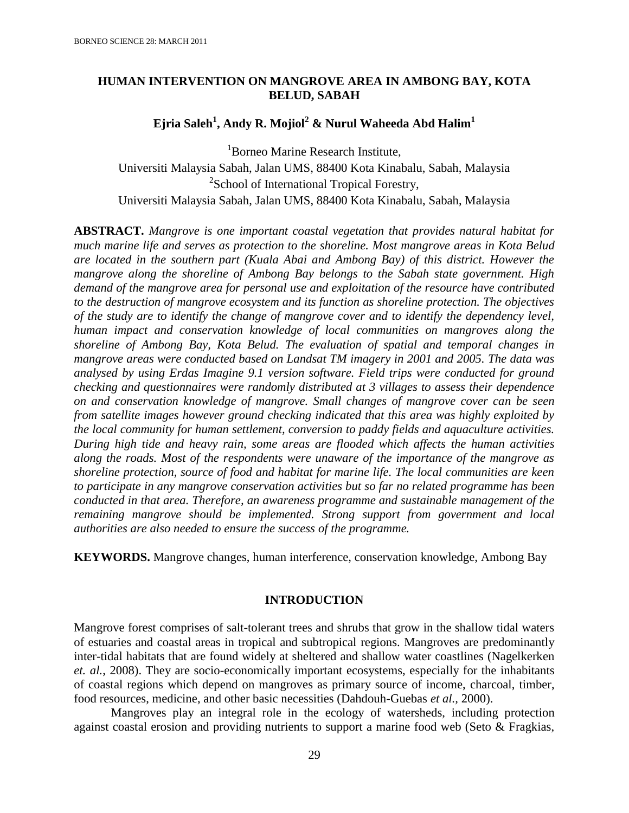# **HUMAN INTERVENTION ON MANGROVE AREA IN AMBONG BAY, KOTA BELUD, SABAH**

# **Ejria Saleh<sup>1</sup> , Andy R. Mojiol<sup>2</sup> & Nurul Waheeda Abd Halim<sup>1</sup>**

<sup>1</sup>Borneo Marine Research Institute, Universiti Malaysia Sabah, Jalan UMS, 88400 Kota Kinabalu, Sabah, Malaysia <sup>2</sup>School of International Tropical Forestry, Universiti Malaysia Sabah, Jalan UMS, 88400 Kota Kinabalu, Sabah, Malaysia

**ABSTRACT.** *Mangrove is one important coastal vegetation that provides natural habitat for much marine life and serves as protection to the shoreline. Most mangrove areas in Kota Belud are located in the southern part (Kuala Abai and Ambong Bay) of this district. However the mangrove along the shoreline of Ambong Bay belongs to the Sabah state government. High demand of the mangrove area for personal use and exploitation of the resource have contributed to the destruction of mangrove ecosystem and its function as shoreline protection. The objectives of the study are to identify the change of mangrove cover and to identify the dependency level, human impact and conservation knowledge of local communities on mangroves along the shoreline of Ambong Bay, Kota Belud. The evaluation of spatial and temporal changes in mangrove areas were conducted based on Landsat TM imagery in 2001 and 2005. The data was analysed by using Erdas Imagine 9.1 version software. Field trips were conducted for ground checking and questionnaires were randomly distributed at 3 villages to assess their dependence on and conservation knowledge of mangrove. Small changes of mangrove cover can be seen from satellite images however ground checking indicated that this area was highly exploited by the local community for human settlement, conversion to paddy fields and aquaculture activities. During high tide and heavy rain, some areas are flooded which affects the human activities along the roads. Most of the respondents were unaware of the importance of the mangrove as shoreline protection, source of food and habitat for marine life. The local communities are keen to participate in any mangrove conservation activities but so far no related programme has been conducted in that area. Therefore, an awareness programme and sustainable management of the remaining mangrove should be implemented. Strong support from government and local authorities are also needed to ensure the success of the programme.* 

**KEYWORDS.** Mangrove changes, human interference, conservation knowledge, Ambong Bay

# **INTRODUCTION**

Mangrove forest comprises of salt-tolerant trees and shrubs that grow in the shallow tidal waters of estuaries and coastal areas in tropical and subtropical regions. Mangroves are predominantly inter-tidal habitats that are found widely at sheltered and shallow water coastlines (Nagelkerken *et. al.*, 2008). They are socio-economically important ecosystems, especially for the inhabitants of coastal regions which depend on mangroves as primary source of income, charcoal, timber, food resources, medicine, and other basic necessities (Dahdouh-Guebas *et al.,* 2000).

Mangroves play an integral role in the ecology of watersheds, including protection against coastal erosion and providing nutrients to support a marine food web (Seto & Fragkias,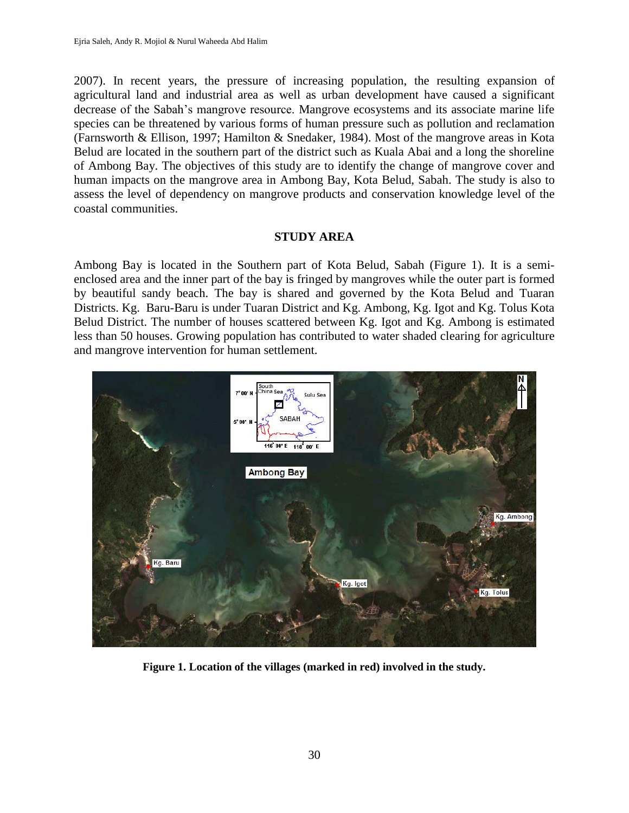2007). In recent years, the pressure of increasing population, the resulting expansion of agricultural land and industrial area as well as urban development have caused a significant decrease of the Sabah's mangrove resource. Mangrove ecosystems and its associate marine life species can be threatened by various forms of human pressure such as pollution and reclamation (Farnsworth & Ellison, 1997; Hamilton & Snedaker, 1984). Most of the mangrove areas in Kota Belud are located in the southern part of the district such as Kuala Abai and a long the shoreline of Ambong Bay. The objectives of this study are to identify the change of mangrove cover and human impacts on the mangrove area in Ambong Bay, Kota Belud, Sabah. The study is also to assess the level of dependency on mangrove products and conservation knowledge level of the coastal communities.

# **STUDY AREA**

Ambong Bay is located in the Southern part of Kota Belud, Sabah (Figure 1). It is a semienclosed area and the inner part of the bay is fringed by mangroves while the outer part is formed by beautiful sandy beach. The bay is shared and governed by the Kota Belud and Tuaran Districts. Kg. Baru-Baru is under Tuaran District and Kg. Ambong, Kg. Igot and Kg. Tolus Kota Belud District. The number of houses scattered between Kg. Igot and Kg. Ambong is estimated less than 50 houses. Growing population has contributed to water shaded clearing for agriculture and mangrove intervention for human settlement.



**Figure 1. Location of the villages (marked in red) involved in the study.**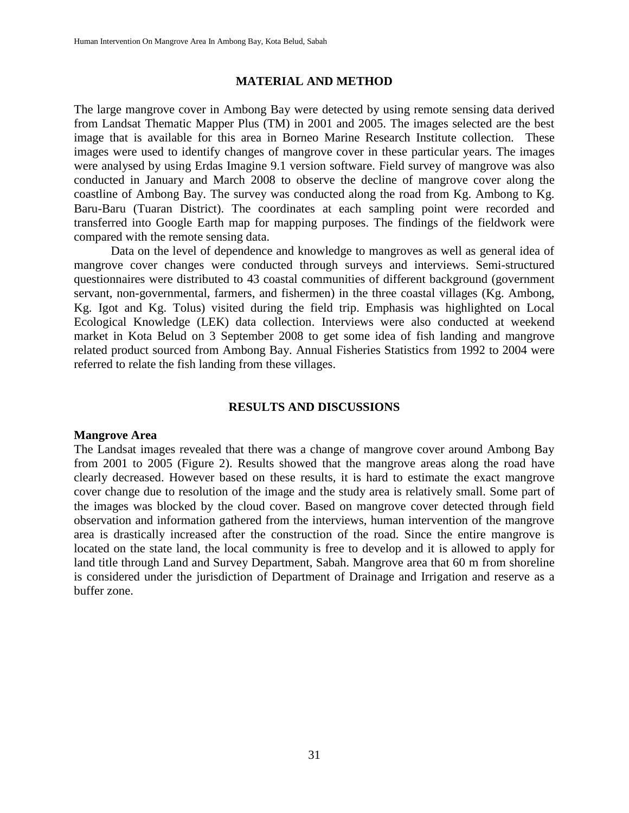#### **MATERIAL AND METHOD**

The large mangrove cover in Ambong Bay were detected by using remote sensing data derived from Landsat Thematic Mapper Plus (TM) in 2001 and 2005. The images selected are the best image that is available for this area in Borneo Marine Research Institute collection. These images were used to identify changes of mangrove cover in these particular years. The images were analysed by using Erdas Imagine 9.1 version software. Field survey of mangrove was also conducted in January and March 2008 to observe the decline of mangrove cover along the coastline of Ambong Bay. The survey was conducted along the road from Kg. Ambong to Kg. Baru-Baru (Tuaran District). The coordinates at each sampling point were recorded and transferred into Google Earth map for mapping purposes. The findings of the fieldwork were compared with the remote sensing data.

Data on the level of dependence and knowledge to mangroves as well as general idea of mangrove cover changes were conducted through surveys and interviews. Semi-structured questionnaires were distributed to 43 coastal communities of different background (government servant, non-governmental, farmers, and fishermen) in the three coastal villages (Kg. Ambong, Kg. Igot and Kg. Tolus) visited during the field trip. Emphasis was highlighted on Local Ecological Knowledge (LEK) data collection. Interviews were also conducted at weekend market in Kota Belud on 3 September 2008 to get some idea of fish landing and mangrove related product sourced from Ambong Bay. Annual Fisheries Statistics from 1992 to 2004 were referred to relate the fish landing from these villages.

#### **RESULTS AND DISCUSSIONS**

#### **Mangrove Area**

The Landsat images revealed that there was a change of mangrove cover around Ambong Bay from 2001 to 2005 (Figure 2). Results showed that the mangrove areas along the road have clearly decreased. However based on these results, it is hard to estimate the exact mangrove cover change due to resolution of the image and the study area is relatively small. Some part of the images was blocked by the cloud cover. Based on mangrove cover detected through field observation and information gathered from the interviews, human intervention of the mangrove area is drastically increased after the construction of the road. Since the entire mangrove is located on the state land, the local community is free to develop and it is allowed to apply for land title through Land and Survey Department, Sabah. Mangrove area that 60 m from shoreline is considered under the jurisdiction of Department of Drainage and Irrigation and reserve as a buffer zone.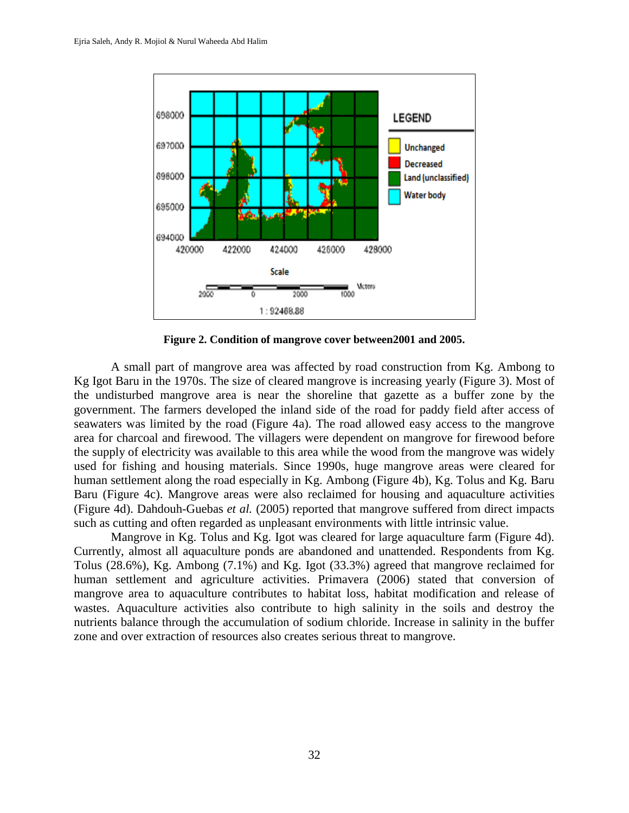

**Figure 2. Condition of mangrove cover between2001 and 2005.**

A small part of mangrove area was affected by road construction from Kg. Ambong to Kg Igot Baru in the 1970s. The size of cleared mangrove is increasing yearly (Figure 3). Most of the undisturbed mangrove area is near the shoreline that gazette as a buffer zone by the government. The farmers developed the inland side of the road for paddy field after access of seawaters was limited by the road (Figure 4a). The road allowed easy access to the mangrove area for charcoal and firewood. The villagers were dependent on mangrove for firewood before the supply of electricity was available to this area while the wood from the mangrove was widely used for fishing and housing materials. Since 1990s, huge mangrove areas were cleared for human settlement along the road especially in Kg. Ambong (Figure 4b), Kg. Tolus and Kg. Baru Baru (Figure 4c). Mangrove areas were also reclaimed for housing and aquaculture activities (Figure 4d). Dahdouh-Guebas *et al.* (2005) reported that mangrove suffered from direct impacts such as cutting and often regarded as unpleasant environments with little intrinsic value.

Mangrove in Kg. Tolus and Kg. Igot was cleared for large aquaculture farm (Figure 4d). Currently, almost all aquaculture ponds are abandoned and unattended. Respondents from Kg. Tolus (28.6%), Kg. Ambong (7.1%) and Kg. Igot (33.3%) agreed that mangrove reclaimed for human settlement and agriculture activities. Primavera (2006) stated that conversion of mangrove area to aquaculture contributes to habitat loss, habitat modification and release of wastes. Aquaculture activities also contribute to high salinity in the soils and destroy the nutrients balance through the accumulation of sodium chloride. Increase in salinity in the buffer zone and over extraction of resources also creates serious threat to mangrove.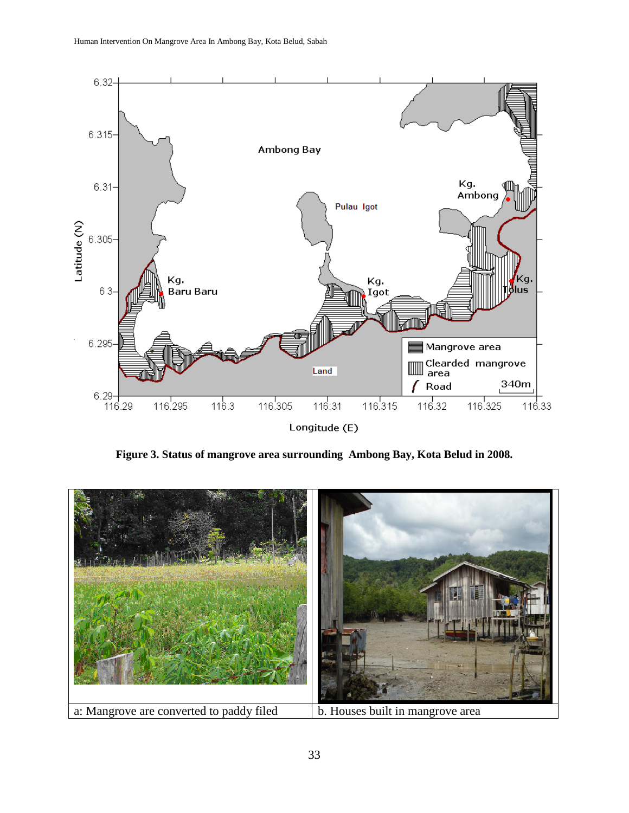

**Figure 3. Status of mangrove area surrounding Ambong Bay, Kota Belud in 2008.**

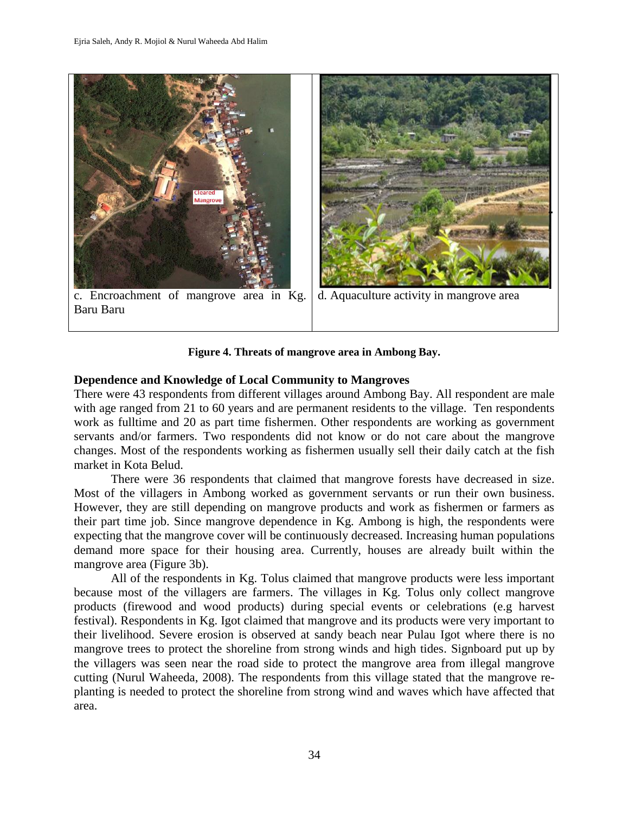

**Figure 4. Threats of mangrove area in Ambong Bay.**

# **Dependence and Knowledge of Local Community to Mangroves**

There were 43 respondents from different villages around Ambong Bay. All respondent are male with age ranged from 21 to 60 years and are permanent residents to the village. Ten respondents work as fulltime and 20 as part time fishermen. Other respondents are working as government servants and/or farmers. Two respondents did not know or do not care about the mangrove changes. Most of the respondents working as fishermen usually sell their daily catch at the fish market in Kota Belud.

There were 36 respondents that claimed that mangrove forests have decreased in size. Most of the villagers in Ambong worked as government servants or run their own business. However, they are still depending on mangrove products and work as fishermen or farmers as their part time job. Since mangrove dependence in Kg. Ambong is high, the respondents were expecting that the mangrove cover will be continuously decreased. Increasing human populations demand more space for their housing area. Currently, houses are already built within the mangrove area (Figure 3b).

All of the respondents in Kg. Tolus claimed that mangrove products were less important because most of the villagers are farmers. The villages in Kg. Tolus only collect mangrove products (firewood and wood products) during special events or celebrations (e.g harvest festival). Respondents in Kg. Igot claimed that mangrove and its products were very important to their livelihood. Severe erosion is observed at sandy beach near Pulau Igot where there is no mangrove trees to protect the shoreline from strong winds and high tides. Signboard put up by the villagers was seen near the road side to protect the mangrove area from illegal mangrove cutting (Nurul Waheeda, 2008). The respondents from this village stated that the mangrove replanting is needed to protect the shoreline from strong wind and waves which have affected that area.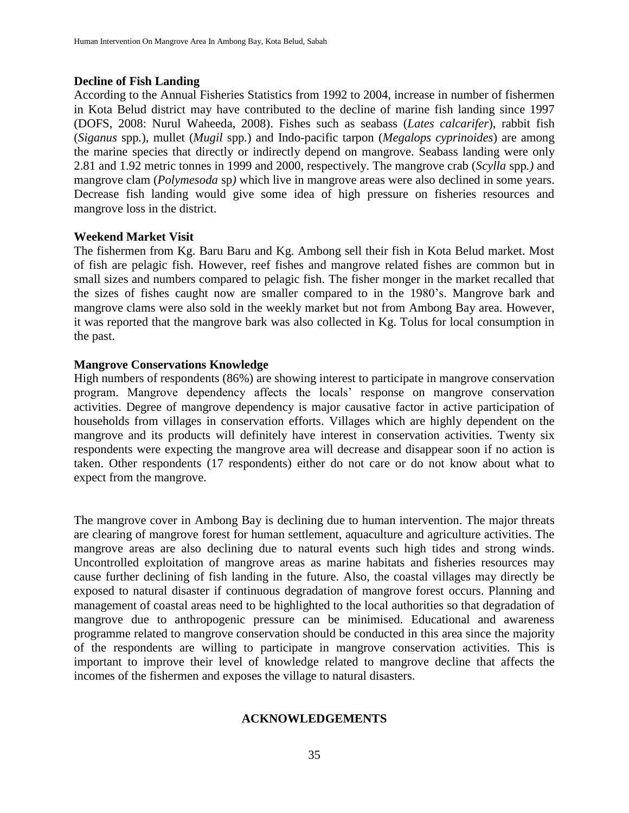#### **Decline of Fish Landing**

According to the Annual Fisheries Statistics from 1992 to 2004, increase in number of fishermen in Kota Belud district may have contributed to the decline of marine fish landing since 1997 (DOFS, 2008: Nurul Waheeda, 2008). Fishes such as seabass (*Lates calcarifer*), rabbit fish (*Siganus* spp*.*), mullet (*Mugil* spp*.*) and Indo-pacific tarpon (*Megalops cyprinoides*) are among the marine species that directly or indirectly depend on mangrove. Seabass landing were only 2.81 and 1.92 metric tonnes in 1999 and 2000, respectively. The mangrove crab (*Scylla* spp*.)* and mangrove clam (*Polymesoda* sp*)* which live in mangrove areas were also declined in some years. Decrease fish landing would give some idea of high pressure on fisheries resources and mangrove loss in the district.

# **Weekend Market Visit**

The fishermen from Kg. Baru Baru and Kg. Ambong sell their fish in Kota Belud market. Most of fish are pelagic fish. However, reef fishes and mangrove related fishes are common but in small sizes and numbers compared to pelagic fish. The fisher monger in the market recalled that the sizes of fishes caught now are smaller compared to in the 1980's. Mangrove bark and mangrove clams were also sold in the weekly market but not from Ambong Bay area. However, it was reported that the mangrove bark was also collected in Kg. Tolus for local consumption in the past.

# **Mangrove Conservations Knowledge**

High numbers of respondents (86%) are showing interest to participate in mangrove conservation program. Mangrove dependency affects the locals' response on mangrove conservation activities. Degree of mangrove dependency is major causative factor in active participation of households from villages in conservation efforts. Villages which are highly dependent on the mangrove and its products will definitely have interest in conservation activities. Twenty six respondents were expecting the mangrove area will decrease and disappear soon if no action is taken. Other respondents (17 respondents) either do not care or do not know about what to expect from the mangrove.

The mangrove cover in Ambong Bay is declining due to human intervention. The major threats are clearing of mangrove forest for human settlement, aquaculture and agriculture activities. The mangrove areas are also declining due to natural events such high tides and strong winds. Uncontrolled exploitation of mangrove areas as marine habitats and fisheries resources may cause further declining of fish landing in the future. Also, the coastal villages may directly be exposed to natural disaster if continuous degradation of mangrove forest occurs. Planning and management of coastal areas need to be highlighted to the local authorities so that degradation of mangrove due to anthropogenic pressure can be minimised. Educational and awareness programme related to mangrove conservation should be conducted in this area since the majority of the respondents are willing to participate in mangrove conservation activities. This is important to improve their level of knowledge related to mangrove decline that affects the incomes of the fishermen and exposes the village to natural disasters.

#### **ACKNOWLEDGEMENTS**